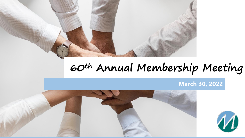

# **60th Annual Membership Meeting**

**March 30, 2022** 



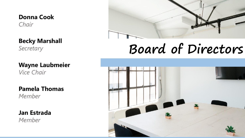### **Donna Cook**

*Chair*

**Becky Marshall**

*Secretary* 

**Wayne Laubmeier** *Vice Chair*

**Pamela Thomas** *Member*

**Jan Estrada** *Member*



# **Board of Directors**

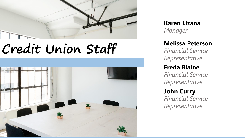

# **Credit Union Staff**



**Karen Lizana** *Manager*

#### **Melissa Peterson**

*Financial Service Representative*

#### **Freda Blaine**

*Financial Service Representative*

#### **John Curry**

*Financial Service Representative*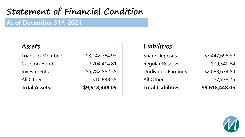## **Statement of Financial Condition**

#### **As of December 31st, 2021**

#### **Assets**

| <b>Total Assets:</b> | \$9,618,448.05 |
|----------------------|----------------|
| All Other:           | \$10,838.55    |
| Investments:         | \$5,782,562.55 |
| Cash on Hand:        | \$704,414.81   |
| Loans to Members:    | \$3,142,764.93 |

### **Liabilities**

| <b>Total Liabilities:</b>  | \$9,618,448.05 |
|----------------------------|----------------|
| All Other:                 | \$7,733.75     |
| <b>Undivided Earnings:</b> | \$2,083,674.54 |
| <b>Regular Reserve:</b>    | \$79,340.84    |
| <b>Share Deposits:</b>     | \$7,447,698.92 |

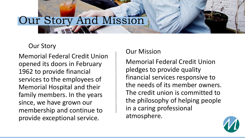# Our Story And Mission

## Our Story

Memorial Federal Credit Union opened its doors in February 1962 to provide financial services to the employees of Memorial Hospital and their family members. In the years since, we have grown our membership and continue to provide exceptional service.

#### Our Mission

Memorial Federal Credit Union pledges to provide quality financial services responsive to the needs of its member owners. The credit union is committed to the philosophy of helping people in a caring professional atmosphere.

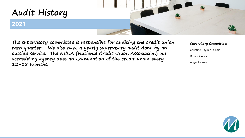

**The supervisory committee is responsible for auditing the credit union each quarter. We also have a yearly supervisory audit done by an outside service. The NCUA (National Credit Union Association) our accrediting agency does an examination of the credit union every 12-18 months.**

**Supervisory Committee:** Christine Hayden– Chair Denice Gulley Angie Johnson

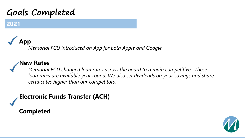## **Goals Completed**

### **2021**

# **App**

*Memorial FCU introduced an App for both Apple and Google.* 

### **New Rates**

*Memorial FCU changed loan rates across the board to remain competitive. These loan rates are available year round. We also set dividends on your savings and share certificates higher than our competitors.* 

**Electronic Funds Transfer (ACH)**

**Completed**

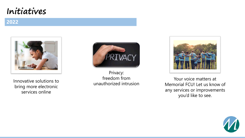## **Initiatives**

#### **2022**



Innovative solutions to bring more electronic services online



```
Privacy:
    freedom from 
unauthorized intrusion
```


Your voice matters at Memorial FCU! Let us know of any services or improvements you'd like to see.

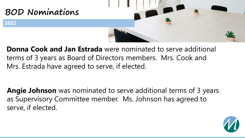

**Donna Cook and Jan Estrada** were nominated to serve additional terms of 3 years as Board of Directors members. Mrs. Cook and Mrs. Estrada have agreed to serve, if elected.

**Angie Johnson** was nominated to serve additional terms of 3 years as Supervisory Committee member. Ms. Johnson has agreed to serve, if elected.

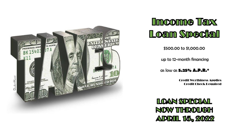



\$500.00 to \$1,000.00

up to 12-month financing

as low as **5.25% A.P.R.\***

Credit Worthiness Applies Credit Check Required

LOAN SPECIAL NOW THROUGH **ADRIL 15, 2022**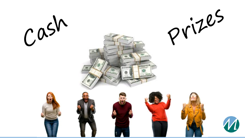